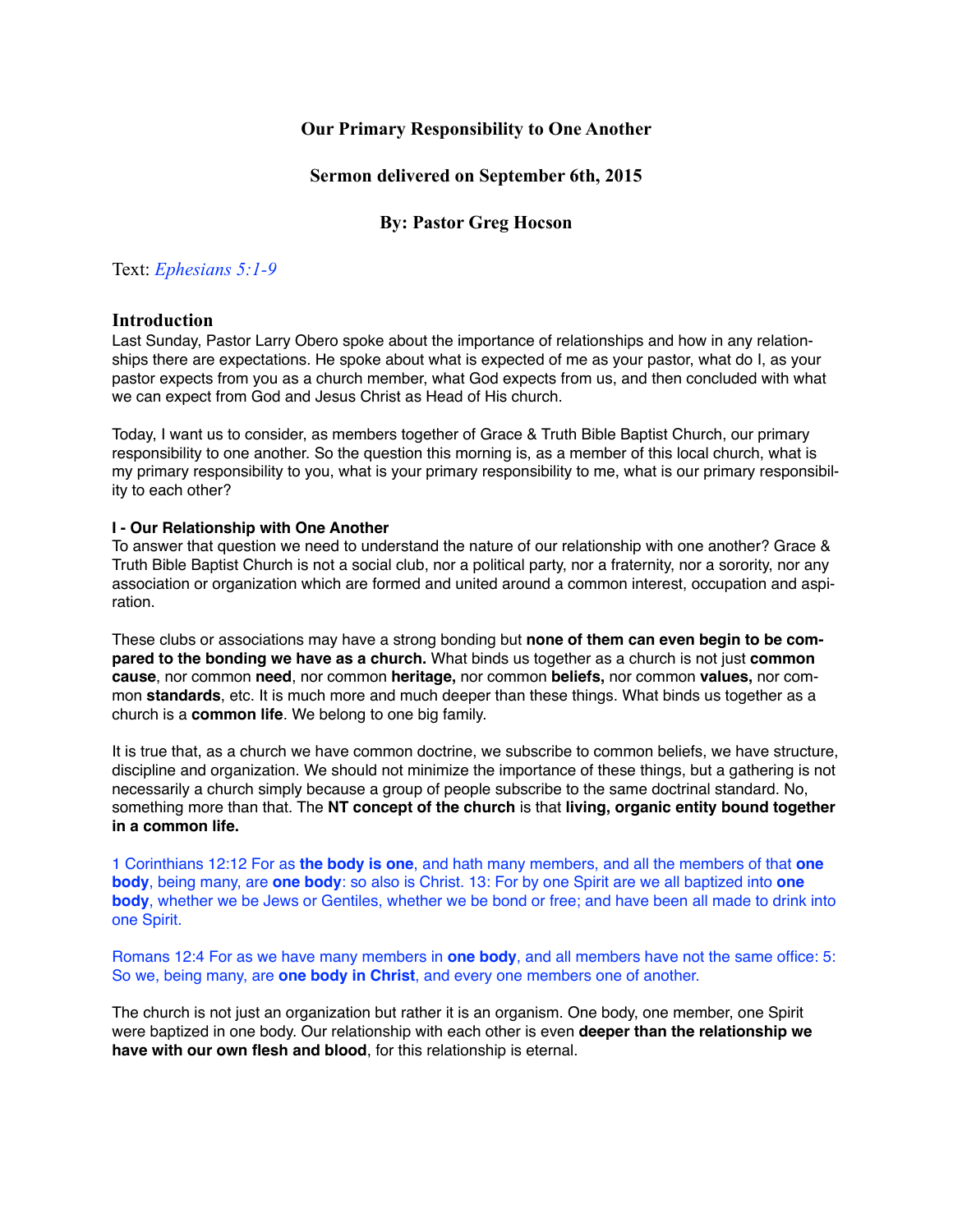# **Our Primary Responsibility to One Another**

## **Sermon delivered on September 6th, 2015**

# **By: Pastor Greg Hocson**

## Text: *Ephesians 5:1-9*

## **Introduction**

Last Sunday, Pastor Larry Obero spoke about the importance of relationships and how in any relationships there are expectations. He spoke about what is expected of me as your pastor, what do I, as your pastor expects from you as a church member, what God expects from us, and then concluded with what we can expect from God and Jesus Christ as Head of His church.

Today, I want us to consider, as members together of Grace & Truth Bible Baptist Church, our primary responsibility to one another. So the question this morning is, as a member of this local church, what is my primary responsibility to you, what is your primary responsibility to me, what is our primary responsibility to each other?

## **I - Our Relationship with One Another**

To answer that question we need to understand the nature of our relationship with one another? Grace & Truth Bible Baptist Church is not a social club, nor a political party, nor a fraternity, nor a sorority, nor any association or organization which are formed and united around a common interest, occupation and aspiration.

These clubs or associations may have a strong bonding but **none of them can even begin to be compared to the bonding we have as a church.** What binds us together as a church is not just **common cause**, nor common **need**, nor common **heritage,** nor common **beliefs,** nor common **values,** nor common **standards**, etc. It is much more and much deeper than these things. What binds us together as a church is a **common life**. We belong to one big family.

It is true that, as a church we have common doctrine, we subscribe to common beliefs, we have structure, discipline and organization. We should not minimize the importance of these things, but a gathering is not necessarily a church simply because a group of people subscribe to the same doctrinal standard. No, something more than that. The **NT concept of the church** is that **living, organic entity bound together in a common life.**

1 Corinthians 12:12 For as **the body is one**, and hath many members, and all the members of that **one body**, being many, are **one body**: so also is Christ. 13: For by one Spirit are we all baptized into **one body**, whether we be Jews or Gentiles, whether we be bond or free; and have been all made to drink into one Spirit.

Romans 12:4 For as we have many members in **one body**, and all members have not the same office: 5: So we, being many, are **one body in Christ**, and every one members one of another.

The church is not just an organization but rather it is an organism. One body, one member, one Spirit were baptized in one body. Our relationship with each other is even **deeper than the relationship we have with our own flesh and blood**, for this relationship is eternal.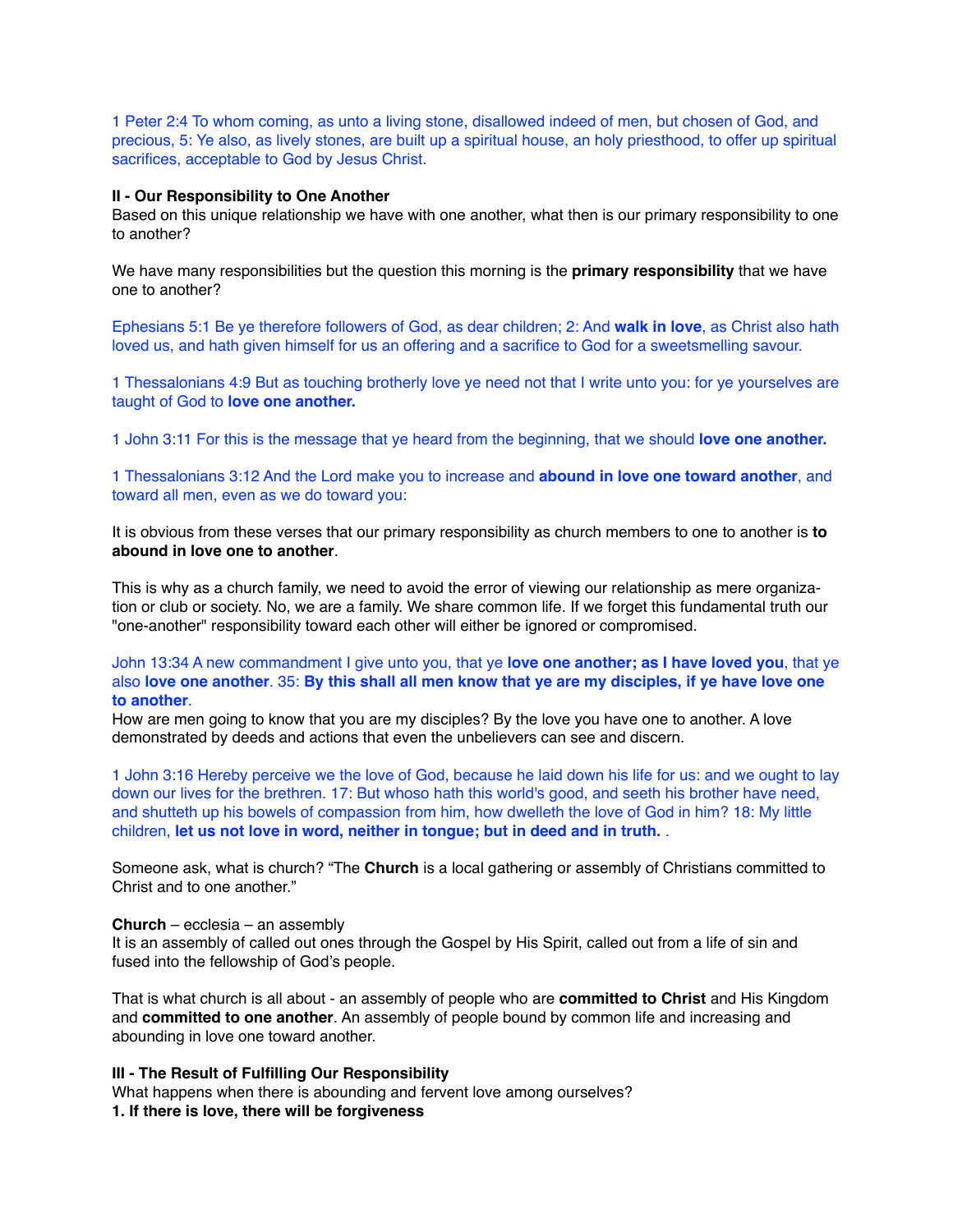1 Peter 2:4 To whom coming, as unto a living stone, disallowed indeed of men, but chosen of God, and precious, 5: Ye also, as lively stones, are built up a spiritual house, an holy priesthood, to offer up spiritual sacrifices, acceptable to God by Jesus Christ.

#### **II - Our Responsibility to One Another**

Based on this unique relationship we have with one another, what then is our primary responsibility to one to another?

We have many responsibilities but the question this morning is the **primary responsibility** that we have one to another?

Ephesians 5:1 Be ye therefore followers of God, as dear children; 2: And **walk in love**, as Christ also hath loved us, and hath given himself for us an offering and a sacrifice to God for a sweetsmelling savour.

1 Thessalonians 4:9 But as touching brotherly love ye need not that I write unto you: for ye yourselves are taught of God to **love one another.**

1 John 3:11 For this is the message that ye heard from the beginning, that we should **love one another.**

1 Thessalonians 3:12 And the Lord make you to increase and **abound in love one toward another**, and toward all men, even as we do toward you:

It is obvious from these verses that our primary responsibility as church members to one to another is **to abound in love one to another**.

This is why as a church family, we need to avoid the error of viewing our relationship as mere organization or club or society. No, we are a family. We share common life. If we forget this fundamental truth our "one-another" responsibility toward each other will either be ignored or compromised.

## John 13:34 A new commandment I give unto you, that ye **love one another; as I have loved you**, that ye also **love one another**. 35: **By this shall all men know that ye are my disciples, if ye have love one to another**.

How are men going to know that you are my disciples? By the love you have one to another. A love demonstrated by deeds and actions that even the unbelievers can see and discern.

1 John 3:16 Hereby perceive we the love of God, because he laid down his life for us: and we ought to lay down our lives for the brethren. 17: But whoso hath this world's good, and seeth his brother have need, and shutteth up his bowels of compassion from him, how dwelleth the love of God in him? 18: My little children, **let us not love in word, neither in tongue; but in deed and in truth.** .

Someone ask, what is church? "The **Church** is a local gathering or assembly of Christians committed to Christ and to one another."

#### **Church** – ecclesia – an assembly

It is an assembly of called out ones through the Gospel by His Spirit, called out from a life of sin and fused into the fellowship of God's people.

That is what church is all about - an assembly of people who are **committed to Christ** and His Kingdom and **committed to one another**. An assembly of people bound by common life and increasing and abounding in love one toward another.

#### **III - The Result of Fulfilling Our Responsibility**

What happens when there is abounding and fervent love among ourselves? **1. If there is love, there will be forgiveness**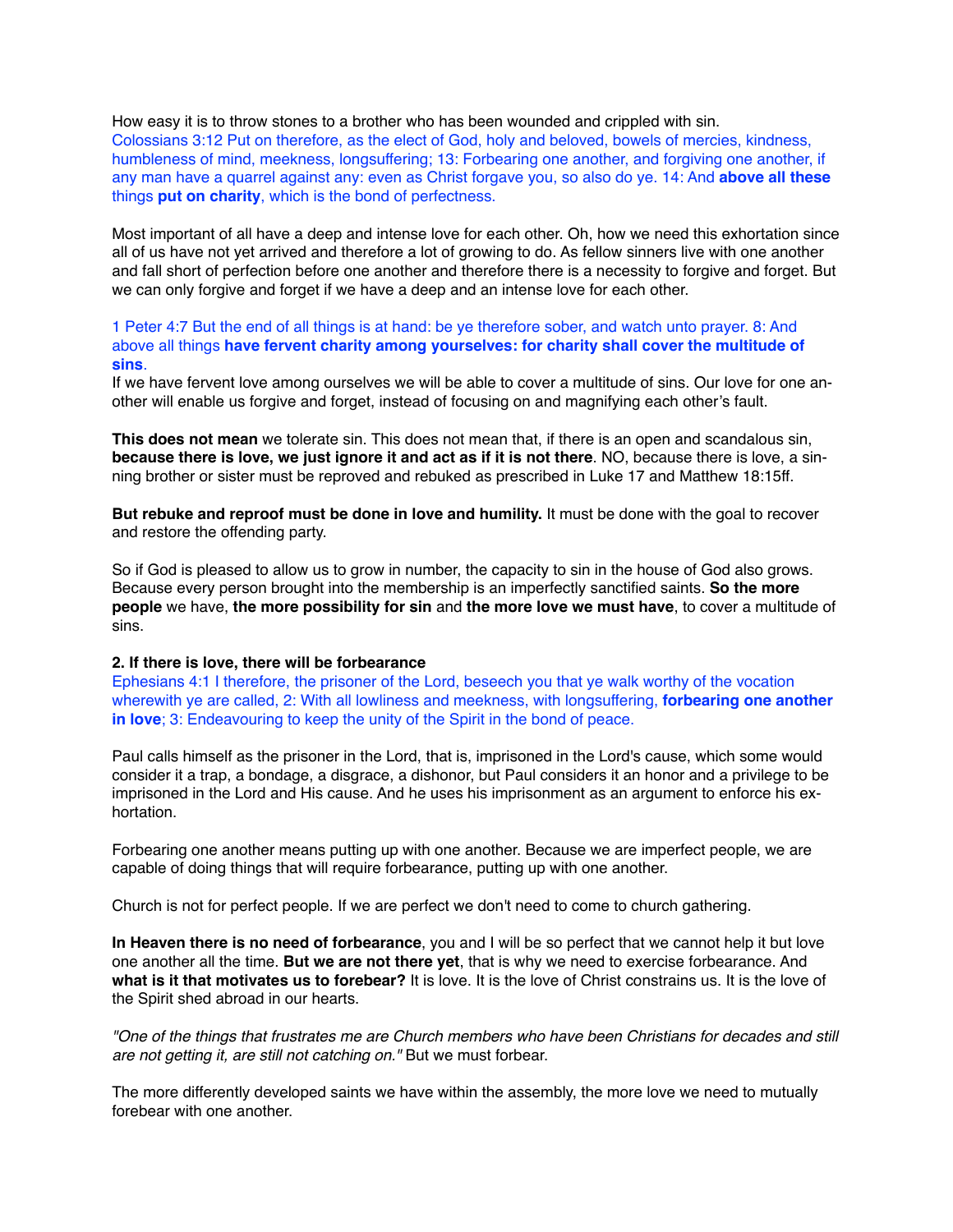How easy it is to throw stones to a brother who has been wounded and crippled with sin. Colossians 3:12 Put on therefore, as the elect of God, holy and beloved, bowels of mercies, kindness, humbleness of mind, meekness, longsuffering; 13: Forbearing one another, and forgiving one another, if any man have a quarrel against any: even as Christ forgave you, so also do ye. 14: And **above all these** things **put on charity**, which is the bond of perfectness.

Most important of all have a deep and intense love for each other. Oh, how we need this exhortation since all of us have not yet arrived and therefore a lot of growing to do. As fellow sinners live with one another and fall short of perfection before one another and therefore there is a necessity to forgive and forget. But we can only forgive and forget if we have a deep and an intense love for each other.

1 Peter 4:7 But the end of all things is at hand: be ye therefore sober, and watch unto prayer. 8: And above all things **have fervent charity among yourselves: for charity shall cover the multitude of sins**.

If we have fervent love among ourselves we will be able to cover a multitude of sins. Our love for one another will enable us forgive and forget, instead of focusing on and magnifying each other's fault.

**This does not mean** we tolerate sin. This does not mean that, if there is an open and scandalous sin, **because there is love, we just ignore it and act as if it is not there**. NO, because there is love, a sinning brother or sister must be reproved and rebuked as prescribed in Luke 17 and Matthew 18:15ff.

**But rebuke and reproof must be done in love and humility.** It must be done with the goal to recover and restore the offending party.

So if God is pleased to allow us to grow in number, the capacity to sin in the house of God also grows. Because every person brought into the membership is an imperfectly sanctified saints. **So the more people** we have, **the more possibility for sin** and **the more love we must have**, to cover a multitude of sins.

#### **2. If there is love, there will be forbearance**

Ephesians 4:1 I therefore, the prisoner of the Lord, beseech you that ye walk worthy of the vocation wherewith ye are called, 2: With all lowliness and meekness, with longsuffering, **forbearing one another in love**; 3: Endeavouring to keep the unity of the Spirit in the bond of peace.

Paul calls himself as the prisoner in the Lord, that is, imprisoned in the Lord's cause, which some would consider it a trap, a bondage, a disgrace, a dishonor, but Paul considers it an honor and a privilege to be imprisoned in the Lord and His cause. And he uses his imprisonment as an argument to enforce his exhortation.

Forbearing one another means putting up with one another. Because we are imperfect people, we are capable of doing things that will require forbearance, putting up with one another.

Church is not for perfect people. If we are perfect we don't need to come to church gathering.

**In Heaven there is no need of forbearance**, you and I will be so perfect that we cannot help it but love one another all the time. **But we are not there yet**, that is why we need to exercise forbearance. And **what is it that motivates us to forebear?** It is love. It is the love of Christ constrains us. It is the love of the Spirit shed abroad in our hearts.

*"One of the things that frustrates me are Church members who have been Christians for decades and still are not getting it, are still not catching on."* But we must forbear.

The more differently developed saints we have within the assembly, the more love we need to mutually forebear with one another.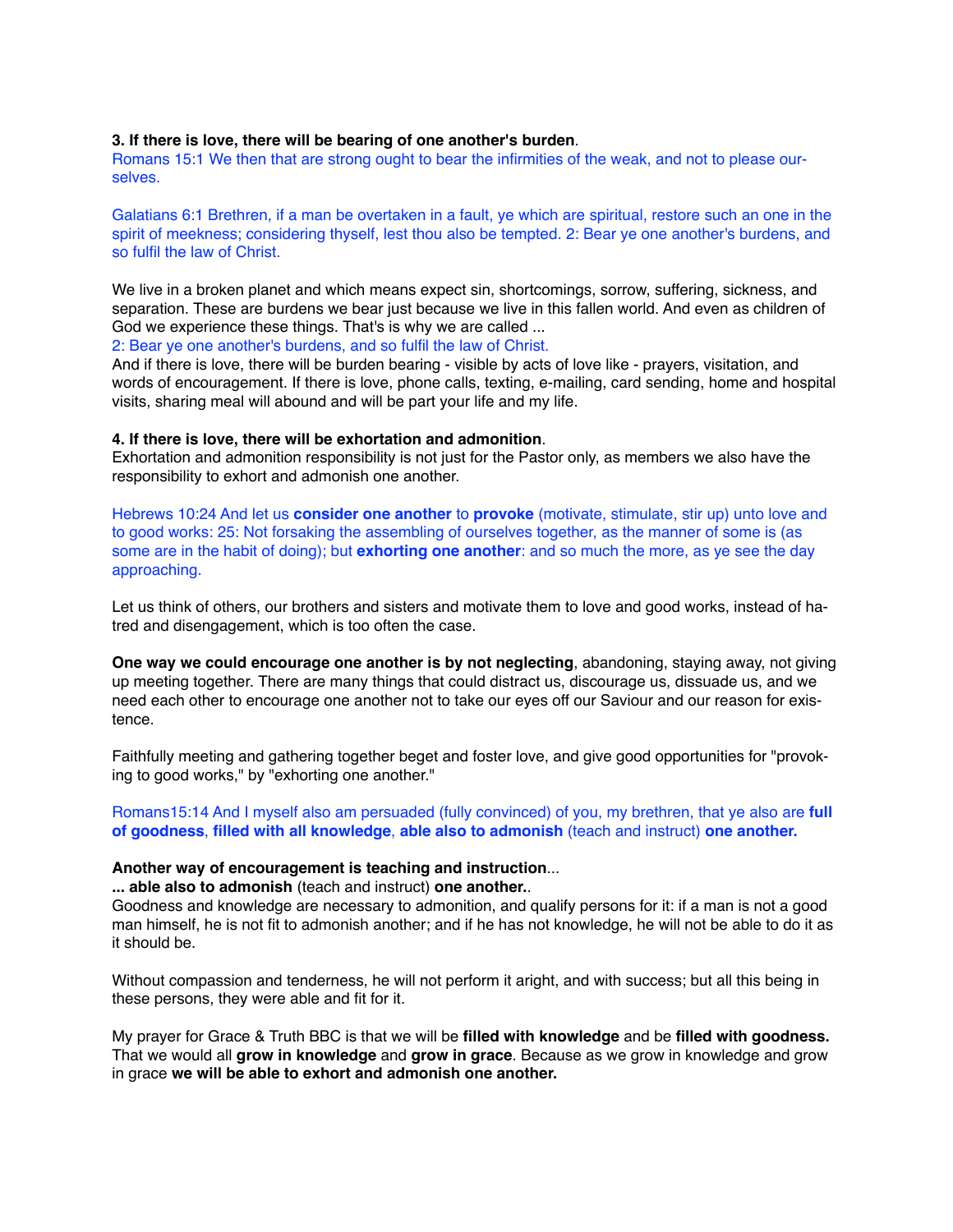#### **3. If there is love, there will be bearing of one another's burden**.

Romans 15:1 We then that are strong ought to bear the infirmities of the weak, and not to please ourselves.

Galatians 6:1 Brethren, if a man be overtaken in a fault, ye which are spiritual, restore such an one in the spirit of meekness; considering thyself, lest thou also be tempted. 2: Bear ye one another's burdens, and so fulfil the law of Christ.

We live in a broken planet and which means expect sin, shortcomings, sorrow, suffering, sickness, and separation. These are burdens we bear just because we live in this fallen world. And even as children of God we experience these things. That's is why we are called ...

2: Bear ye one another's burdens, and so fulfil the law of Christ.

And if there is love, there will be burden bearing - visible by acts of love like - prayers, visitation, and words of encouragement. If there is love, phone calls, texting, e-mailing, card sending, home and hospital visits, sharing meal will abound and will be part your life and my life.

#### **4. If there is love, there will be exhortation and admonition**.

Exhortation and admonition responsibility is not just for the Pastor only, as members we also have the responsibility to exhort and admonish one another.

Hebrews 10:24 And let us **consider one another** to **provoke** (motivate, stimulate, stir up) unto love and to good works: 25: Not forsaking the assembling of ourselves together, as the manner of some is (as some are in the habit of doing); but **exhorting one another**: and so much the more, as ye see the day approaching.

Let us think of others, our brothers and sisters and motivate them to love and good works, instead of hatred and disengagement, which is too often the case.

**One way we could encourage one another is by not neglecting**, abandoning, staying away, not giving up meeting together. There are many things that could distract us, discourage us, dissuade us, and we need each other to encourage one another not to take our eyes off our Saviour and our reason for existence.

Faithfully meeting and gathering together beget and foster love, and give good opportunities for "provoking to good works," by "exhorting one another."

Romans15:14 And I myself also am persuaded (fully convinced) of you, my brethren, that ye also are **full of goodness**, **filled with all knowledge**, **able also to admonish** (teach and instruct) **one another.**

#### **Another way of encouragement is teaching and instruction**...

**... able also to admonish** (teach and instruct) **one another.**.

Goodness and knowledge are necessary to admonition, and qualify persons for it: if a man is not a good man himself, he is not fit to admonish another; and if he has not knowledge, he will not be able to do it as it should be.

Without compassion and tenderness, he will not perform it aright, and with success; but all this being in these persons, they were able and fit for it.

My prayer for Grace & Truth BBC is that we will be **filled with knowledge** and be **filled with goodness.** That we would all **grow in knowledge** and **grow in grace**. Because as we grow in knowledge and grow in grace **we will be able to exhort and admonish one another.**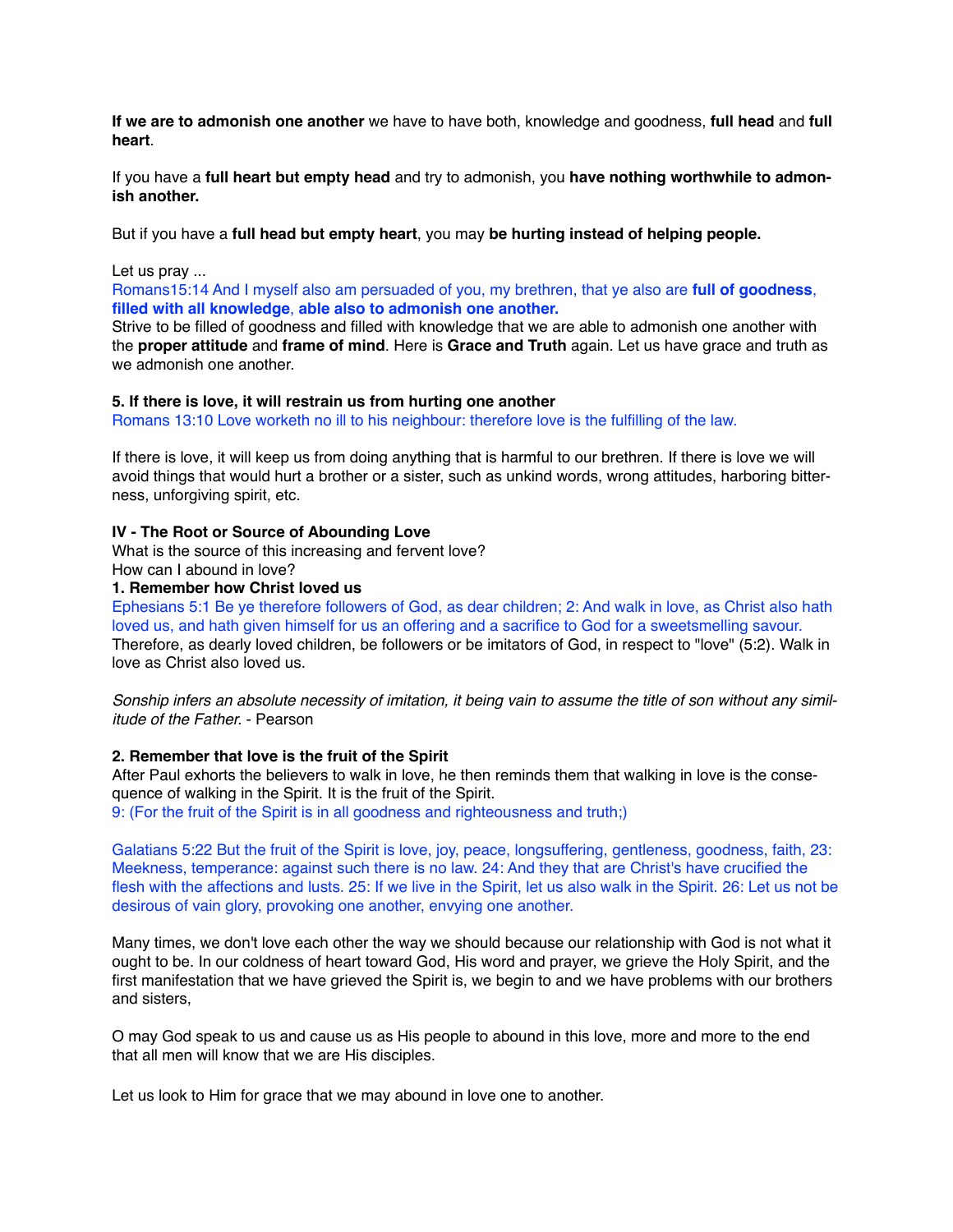**If we are to admonish one another** we have to have both, knowledge and goodness, **full head** and **full heart**.

If you have a **full heart but empty head** and try to admonish, you **have nothing worthwhile to admonish another.**

But if you have a **full head but empty heart**, you may **be hurting instead of helping people.**

Let us pray ...

Romans15:14 And I myself also am persuaded of you, my brethren, that ye also are **full of goodness**, **filled with all knowledge**, **able also to admonish one another.**

Strive to be filled of goodness and filled with knowledge that we are able to admonish one another with the **proper attitude** and **frame of mind**. Here is **Grace and Truth** again. Let us have grace and truth as we admonish one another.

#### **5. If there is love, it will restrain us from hurting one another**

Romans 13:10 Love worketh no ill to his neighbour: therefore love is the fulfilling of the law.

If there is love, it will keep us from doing anything that is harmful to our brethren. If there is love we will avoid things that would hurt a brother or a sister, such as unkind words, wrong attitudes, harboring bitterness, unforgiving spirit, etc.

## **IV - The Root or Source of Abounding Love**

What is the source of this increasing and fervent love? How can I abound in love?

**1. Remember how Christ loved us**

Ephesians 5:1 Be ye therefore followers of God, as dear children; 2: And walk in love, as Christ also hath loved us, and hath given himself for us an offering and a sacrifice to God for a sweetsmelling savour. Therefore, as dearly loved children, be followers or be imitators of God, in respect to "love" (5:2). Walk in love as Christ also loved us.

*Sonship infers an absolute necessity of imitation, it being vain to assume the title of son without any similitude of the Father.* - Pearson

## **2. Remember that love is the fruit of the Spirit**

After Paul exhorts the believers to walk in love, he then reminds them that walking in love is the consequence of walking in the Spirit. It is the fruit of the Spirit.

9: (For the fruit of the Spirit is in all goodness and righteousness and truth;)

Galatians 5:22 But the fruit of the Spirit is love, joy, peace, longsuffering, gentleness, goodness, faith, 23: Meekness, temperance: against such there is no law. 24: And they that are Christ's have crucified the flesh with the affections and lusts. 25: If we live in the Spirit, let us also walk in the Spirit. 26: Let us not be desirous of vain glory, provoking one another, envying one another.

Many times, we don't love each other the way we should because our relationship with God is not what it ought to be. In our coldness of heart toward God, His word and prayer, we grieve the Holy Spirit, and the first manifestation that we have grieved the Spirit is, we begin to and we have problems with our brothers and sisters,

O may God speak to us and cause us as His people to abound in this love, more and more to the end that all men will know that we are His disciples.

Let us look to Him for grace that we may abound in love one to another.